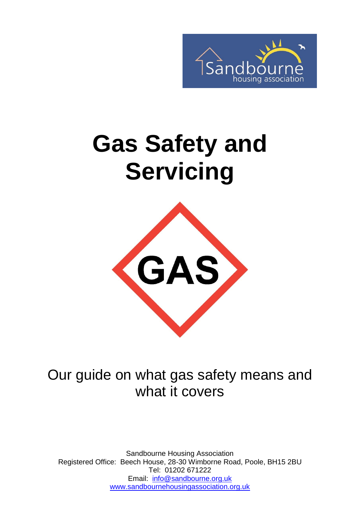

# **Gas Safety and Servicing**



Our guide on what gas safety means and what it covers

Sandbourne Housing Association Registered Office: Beech House, 28-30 Wimborne Road, Poole, BH15 2BU Tel: 01202 671222 Email: [info@sandbourne.org.uk](mailto:info@sandbourne.org.uk) [www.sandbournehousingassociation.org.uk](http://www.sandbournehousingassociation.org.uk/)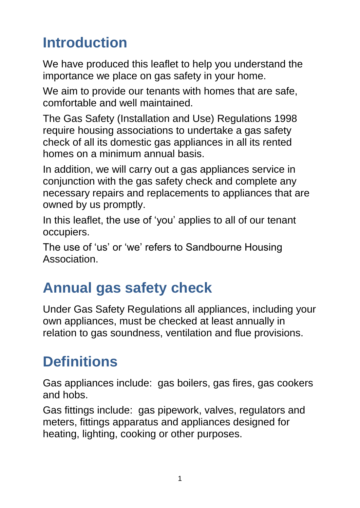## **Introduction**

We have produced this leaflet to help you understand the importance we place on gas safety in your home.

We aim to provide our tenants with homes that are safe, comfortable and well maintained.

The Gas Safety (Installation and Use) Regulations 1998 require housing associations to undertake a gas safety check of all its domestic gas appliances in all its rented homes on a minimum annual basis.

In addition, we will carry out a gas appliances service in conjunction with the gas safety check and complete any necessary repairs and replacements to appliances that are owned by us promptly.

In this leaflet, the use of 'you' applies to all of our tenant occupiers.

The use of 'us' or 'we' refers to Sandbourne Housing Association.

## **Annual gas safety check**

Under Gas Safety Regulations all appliances, including your own appliances, must be checked at least annually in relation to gas soundness, ventilation and flue provisions.

## **Definitions**

Gas appliances include: gas boilers, gas fires, gas cookers and hobs.

Gas fittings include: gas pipework, valves, regulators and meters, fittings apparatus and appliances designed for heating, lighting, cooking or other purposes.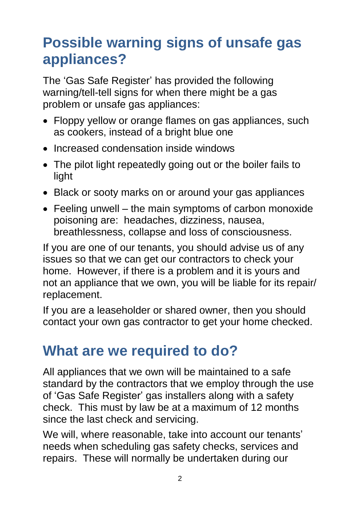## **Possible warning signs of unsafe gas appliances?**

The 'Gas Safe Register' has provided the following warning/tell-tell signs for when there might be a gas problem or unsafe gas appliances:

- Floppy yellow or orange flames on gas appliances, such as cookers, instead of a bright blue one
- Increased condensation inside windows
- The pilot light repeatedly going out or the boiler fails to light
- Black or sooty marks on or around your gas appliances
- Feeling unwell the main symptoms of carbon monoxide poisoning are: headaches, dizziness, nausea, breathlessness, collapse and loss of consciousness.

If you are one of our tenants, you should advise us of any issues so that we can get our contractors to check your home. However, if there is a problem and it is yours and not an appliance that we own, you will be liable for its repair/ replacement.

If you are a leaseholder or shared owner, then you should contact your own gas contractor to get your home checked.

#### **What are we required to do?**

All appliances that we own will be maintained to a safe standard by the contractors that we employ through the use of 'Gas Safe Register' gas installers along with a safety check. This must by law be at a maximum of 12 months since the last check and servicing.

We will, where reasonable, take into account our tenants' needs when scheduling gas safety checks, services and repairs. These will normally be undertaken during our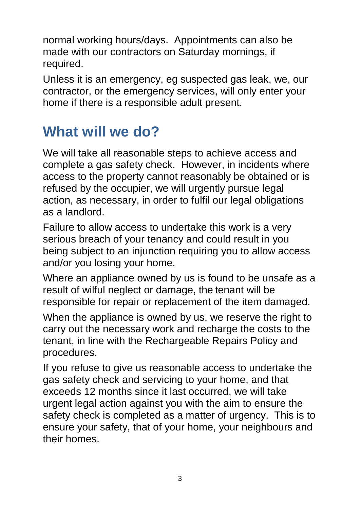normal working hours/days. Appointments can also be made with our contractors on Saturday mornings, if required.

Unless it is an emergency, eg suspected gas leak, we, our contractor, or the emergency services, will only enter your home if there is a responsible adult present.

#### **What will we do?**

We will take all reasonable steps to achieve access and complete a gas safety check. However, in incidents where access to the property cannot reasonably be obtained or is refused by the occupier, we will urgently pursue legal action, as necessary, in order to fulfil our legal obligations as a landlord.

Failure to allow access to undertake this work is a very serious breach of your tenancy and could result in you being subject to an injunction requiring you to allow access and/or you losing your home.

Where an appliance owned by us is found to be unsafe as a result of wilful neglect or damage, the tenant will be responsible for repair or replacement of the item damaged.

When the appliance is owned by us, we reserve the right to carry out the necessary work and recharge the costs to the tenant, in line with the Rechargeable Repairs Policy and procedures.

If you refuse to give us reasonable access to undertake the gas safety check and servicing to your home, and that exceeds 12 months since it last occurred, we will take urgent legal action against you with the aim to ensure the safety check is completed as a matter of urgency. This is to ensure your safety, that of your home, your neighbours and their homes.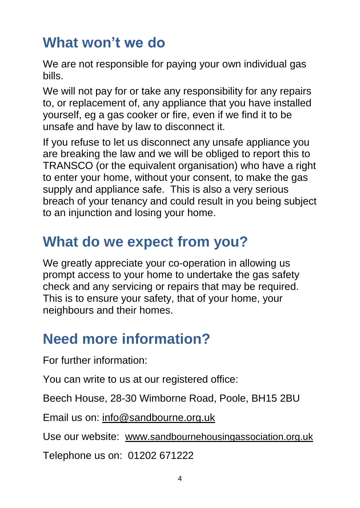## **What won't we do**

We are not responsible for paying your own individual gas bills.

We will not pay for or take any responsibility for any repairs to, or replacement of, any appliance that you have installed yourself, eg a gas cooker or fire, even if we find it to be unsafe and have by law to disconnect it.

If you refuse to let us disconnect any unsafe appliance you are breaking the law and we will be obliged to report this to TRANSCO (or the equivalent organisation) who have a right to enter your home, without your consent, to make the gas supply and appliance safe. This is also a very serious breach of your tenancy and could result in you being subject to an injunction and losing your home.

#### **What do we expect from you?**

We greatly appreciate your co-operation in allowing us prompt access to your home to undertake the gas safety check and any servicing or repairs that may be required. This is to ensure your safety, that of your home, your neighbours and their homes.

#### **Need more information?**

For further information:

You can write to us at our registered office:

Beech House, 28-30 Wimborne Road, Poole, BH15 2BU

Email us on: [info@sandbourne.org.uk](mailto:info@sandbourne.org.uk)

Use our website: www.[sandbournehousingassociation.org.uk](http://www.sandbournehousingassociation.org.uk/)

Telephone us on: 01202 671222